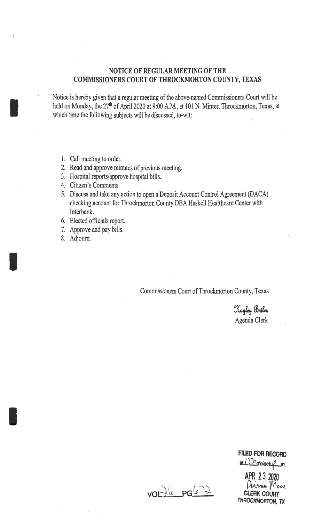# NOTICE OF REGULAR MEETING OF THE COMMISSIONERS COURT OF THROCKMORTON COUNTY, TEXAS

Notice is hereby given that a regular meeting of the above-named Commissioners Court will be held on Monday, the 27<sup>th</sup> of April 2020 at 9:00 A.M., at 101 N. Minter, Throckmorton, Texas, at which time the following subjects will be discussed, to-wit:

1. Call meeting to order.

I

I

I

- 2. Read and approve minutes of previous meeting.
- 3. Hospital reports/approve hospital bills.
- 4. Citizen's Comments.
- 5. Discuss and take any action to open a Deposit Account Control Agreement (DACA) checking account for Throckmorton County DBA Haskell Healthcare Center with Interbank.
- 6. Elected officials report.
- 7. Approve and pay bills.
- 8. Adjourn.

Commissioners Court of Throckmorton County, Texas

Kayley Briles Agenda Clerk

 $vol_{6}$   $pg(1)$ 

APR 2 3 2020 Planna Moore CLERK COURT THROCKMORTON, TX

FILED FOR RECORD at  $133$  o'clock  $\ell$ -m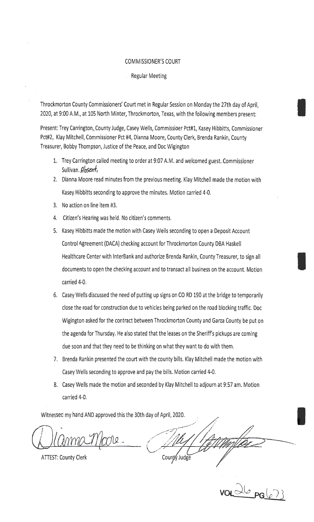#### COMMISSIONER'S COURT

#### Regular Meeting

Throckmorton County Commissioners' Court met in Regular Session on Monday the 27th day of April, 2020, at 9:00 A.M., at 105 North Minter, Throckmorton, Texas, with the following members present:

Present: Trey Carrington, County Judge, Casey Wells, Commissioer Pct#1, Kasey Hibbitts, Commissioner Pct#2, Klay Mitchell, Commissioner Pct #4, Dianna Moore, County Clerk, Brenda Rankin, County Treasurer, Bobby Thompson, Justice of the Peace, and Doc Wigington

- 1. Trey Carrington called meeting to order at 9:07 A.M. and welcomed guest. Commissioner Sullivan.  $Absent$ ,
- 2. Dianna Moore read minutes from the previous meeting. Klay Mitchell made the motion with Kasey Hibbitts seconding to approve the minutes. Motion carried 4-0.
- 3. No action on line item #3.
- 4. Citizen's Hearing was held. No citizen's comments.
- 5. Kasey Hibbitts made the motion with Casey Wells seconding to open a Deposit Account Control Agreement {DACA) checking account for Throckmorton County DBA Haskell Healthcare Center with lnterBank and authorize Brenda Rankin, County Treasurer, to sign all documents to open the checking account and to transact all business on the account. Motion carried 4-0.
- 6. Casey Wells discussed the need of putting up signs on CO RD 190 at the bridge to temporarily close the road for construction due to vehicles being parked on the road blocking traffic. Doc Wigington asked for the contract between Throckmorton County and Garza County be put on the agenda for Thursday. He also stated that the leases on the Sheriff's pickups are coming due soon and that they need to be thinking on what they want to do with them.
- 7. Brenda Rankin presented the court with the county bills. Klay Mitchell made the motion with Casey Wells seconding to approve and pay the bills. Motion carried 4-0.
- 8. Casey Wells made the motion and seconded by Klay Mitchell to adjourn at 9:57 am. Motion carried 4-0.

Witnessed my hand AND approved this the 30th day of April, 2020.

 $(1)$ lanma 1/000

**ATTEST: County Clerk** 

I County Judge

 $v \frac{\partial(\sigma_{PG}(c))}{\partial G}$ 

I

I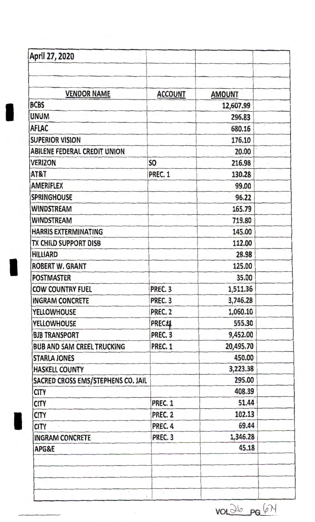| April 27, 2020                      |                            |               |  |
|-------------------------------------|----------------------------|---------------|--|
|                                     |                            |               |  |
| <b>VENDOR NAME</b>                  | <b>ACCOUNT</b>             | <b>AMOUNT</b> |  |
| <b>BCBS</b>                         |                            | 12,607.99     |  |
| <b>UNUM</b>                         |                            | 296.83        |  |
| <b>AFLAC</b>                        |                            | 680.16        |  |
| <b>SUPERIOR VISION</b>              |                            | 176.10        |  |
| <b>ABILENE FEDERAL CREDIT UNION</b> |                            | 20.00         |  |
| <b>VERIZON</b>                      | S <sub>O</sub>             | 216.98        |  |
| AT&T                                | PREC. 1                    | 130.28        |  |
| <b>AMERIFLEX</b>                    |                            | 99.00         |  |
| <b>SPRINGHOUSE</b>                  |                            | 96.22         |  |
| <b>WINDSTREAM</b>                   |                            | 165.79        |  |
| WINDSTREAM                          |                            | 719.80        |  |
| <b>HARRIS EXTERMINATING</b>         |                            | 145.00        |  |
| TX CHILD SUPPORT DISB               |                            | 112.00        |  |
| <b>HILLIARD</b>                     |                            | 28.98         |  |
| <b>ROBERT W. GRANT</b>              |                            | 125.00        |  |
| <b>POSTMASTER</b>                   |                            | 35.00         |  |
| <b>COW COUNTRY FUEL</b>             | PREC. 3                    | 1,511.36      |  |
| <b>INGRAM CONCRETE</b>              | PREC. <sub>3</sub>         | 3,746.28      |  |
| <b>YELLOWHOUSE</b>                  | PREC. 2                    | 1,060.10      |  |
| <b>YELLOWHOUSE</b>                  | <b>PREC11</b>              | 555.30        |  |
| <b>BJB TRANSPORT</b>                | PREC. 3                    | 9,452.00      |  |
| <b>BUB AND SAM CREEL TRUCKING</b>   | <b>PREC. 1</b>             | 20,495.70     |  |
| <b>STARLA JONES</b>                 |                            | 450.00        |  |
| <b>HASKELL COUNTY</b>               |                            | 3,223.38      |  |
| SACRED CROSS EMS/STEPHENS CO. JAIL  |                            | 295.00        |  |
| <b>CITY</b>                         |                            | 408.39        |  |
| <b>CITY</b>                         | PREC. 1                    | 51.44         |  |
| <b>CITY</b>                         | PREC. 2                    | 102.13        |  |
| <b>CITY</b>                         | PREC. 4                    | 69.44         |  |
| <b>INGRAM CONCRETE</b>              | PREC. 3                    | 1,346.28      |  |
| APG&E                               |                            | 45.18         |  |
|                                     |                            |               |  |
| $\bar{\eta}$                        | $\overline{\phantom{a}}$ , |               |  |